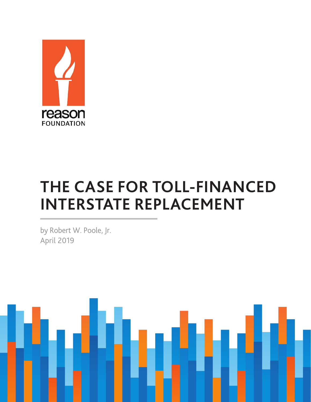

## **THE CASE FOR TOLL-FINANCED INTERSTATE REPLACEMENT**

by Robert W. Poole, Jr. April 2019

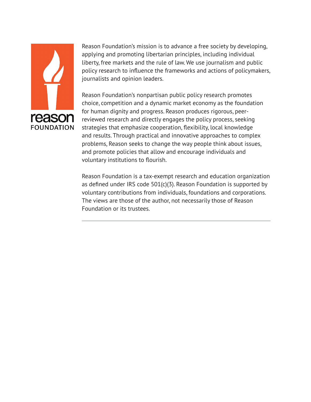

Reason Foundation's mission is to advance a free society by developing, applying and promoting libertarian principles, including individual liberty, free markets and the rule of law. We use journalism and public policy research to influence the frameworks and actions of policymakers, journalists and opinion leaders.

Reason Foundation's nonpartisan public policy research promotes choice, competition and a dynamic market economy as the foundation for human dignity and progress. Reason produces rigorous, peerreviewed research and directly engages the policy process, seeking strategies that emphasize cooperation, flexibility, local knowledge and results. Through practical and innovative approaches to complex problems, Reason seeks to change the way people think about issues, and promote policies that allow and encourage individuals and voluntary institutions to flourish.

Reason Foundation is a tax-exempt research and education organization as defined under IRS code 501(c)(3). Reason Foundation is supported by voluntary contributions from individuals, foundations and corporations. The views are those of the author, not necessarily those of Reason Foundation or its trustees.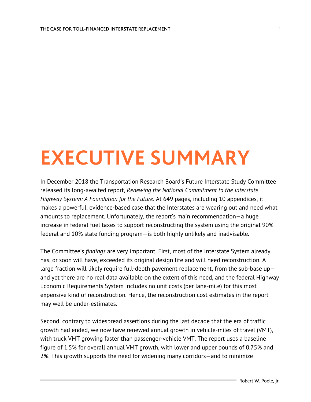## **EXECUTIVE SUMMARY**

In December 2018 the Transportation Research Board's Future Interstate Study Committee released its long-awaited report, *Renewing the National Commitment to the Interstate Highway System: A Foundation for the Future*. At 649 pages, including 10 appendices, it makes a powerful, evidence-based case that the Interstates are wearing out and need what amounts to replacement. Unfortunately, the report's main recommendation—a huge increase in federal fuel taxes to support reconstructing the system using the original 90% federal and 10% state funding program—is both highly unlikely and inadvisable.

The Committee's *findings* are very important. First, most of the Interstate System already has, or soon will have, exceeded its original design life and will need reconstruction. A large fraction will likely require full-depth pavement replacement, from the sub-base up and yet there are no real data available on the extent of this need, and the federal Highway Economic Requirements System includes no unit costs (per lane-mile) for this most expensive kind of reconstruction. Hence, the reconstruction cost estimates in the report may well be under-estimates.

Second, contrary to widespread assertions during the last decade that the era of traffic growth had ended, we now have renewed annual growth in vehicle-miles of travel (VMT), with truck VMT growing faster than passenger-vehicle VMT. The report uses a baseline figure of 1.5% for overall annual VMT growth, with lower and upper bounds of 0.75% and 2%. This growth supports the need for widening many corridors—and to minimize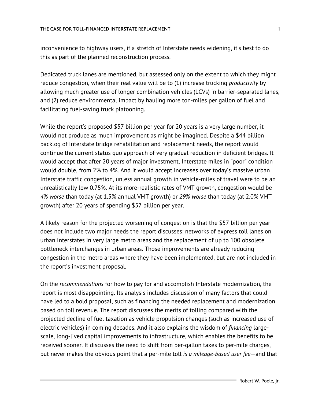inconvenience to highway users, if a stretch of Interstate needs widening, it's best to do this as part of the planned reconstruction process.

Dedicated truck lanes are mentioned, but assessed only on the extent to which they might reduce congestion, when their real value will be to (1) increase trucking *productivity* by allowing much greater use of longer combination vehicles (LCVs) in barrier-separated lanes, and (2) reduce environmental impact by hauling more ton-miles per gallon of fuel and facilitating fuel-saving truck platooning.

While the report's proposed \$57 billion per year for 20 years is a very large number, it would not produce as much improvement as might be imagined. Despite a \$44 billion backlog of Interstate bridge rehabilitation and replacement needs, the report would continue the current status quo approach of very gradual reduction in deficient bridges. It would accept that after 20 years of major investment, Interstate miles in "poor" condition would double, from 2% to 4%. And it would accept increases over today's massive urban Interstate traffic congestion, unless annual growth in vehicle-miles of travel were to be an unrealistically low 0.75%. At its more-realistic rates of VMT growth, congestion would be *4% worse* than today (at 1.5% annual VMT growth) or *29% worse* than today (at 2.0% VMT growth) after 20 years of spending \$57 billion per year.

A likely reason for the projected worsening of congestion is that the \$57 billion per year does not include two major needs the report discusses: networks of express toll lanes on urban Interstates in very large metro areas and the replacement of up to 100 obsolete bottleneck interchanges in urban areas. Those improvements are already reducing congestion in the metro areas where they have been implemented, but are not included in the report's investment proposal.

On the *recommendations* for how to pay for and accomplish Interstate modernization, the report is most disappointing. Its analysis includes discussion of many factors that could have led to a bold proposal, such as financing the needed replacement and modernization based on toll revenue. The report discusses the merits of tolling compared with the projected decline of fuel taxation as vehicle propulsion changes (such as increased use of electric vehicles) in coming decades. And it also explains the wisdom of *financing* largescale, long-lived capital improvements to infrastructure, which enables the benefits to be received sooner. It discusses the need to shift from per-gallon taxes to per-mile charges, but never makes the obvious point that a per-mile toll *is a mileage-based user fee*—and that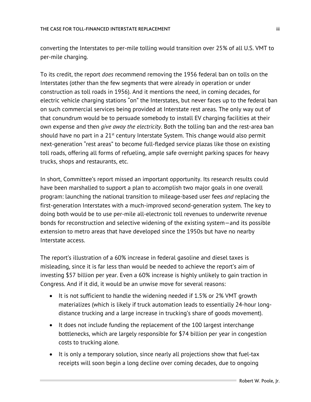converting the Interstates to per-mile tolling would transition over 25% of all U.S. VMT to per-mile charging.

To its credit, the report *does* recommend removing the 1956 federal ban on tolls on the Interstates (other than the few segments that were already in operation or under construction as toll roads in 1956). And it mentions the need, in coming decades, for electric vehicle charging stations "on" the Interstates, but never faces up to the federal ban on such commercial services being provided at Interstate rest areas. The only way out of that conundrum would be to persuade somebody to install EV charging facilities at their own expense and then *give away the electricity*. Both the tolling ban and the rest-area ban should have no part in a  $21<sup>st</sup>$  century Interstate System. This change would also permit next-generation "rest areas" to become full-fledged service plazas like those on existing toll roads, offering all forms of refueling, ample safe overnight parking spaces for heavy trucks, shops and restaurants, etc.

In short, Committee's report missed an important opportunity. Its research results could have been marshalled to support a plan to accomplish two major goals in one overall program: launching the national transition to mileage-based user fees *and* replacing the first-generation Interstates with a much-improved second-generation system. The key to doing both would be to use per-mile all-electronic toll revenues to underwrite revenue bonds for reconstruction and selective widening of the existing system—and its possible extension to metro areas that have developed since the 1950s but have no nearby Interstate access.

The report's illustration of a 60% increase in federal gasoline and diesel taxes is misleading, since it is far less than would be needed to achieve the report's aim of investing \$57 billion per year. Even a 60% increase is highly unlikely to gain traction in Congress. And if it did, it would be an unwise move for several reasons:

- It is not sufficient to handle the widening needed if 1.5% or 2% VMT growth materializes (which is likely if truck automation leads to essentially 24-hour longdistance trucking and a large increase in trucking's share of goods movement).
- It does not include funding the replacement of the 100 largest interchange bottlenecks, which are largely responsible for \$74 billion per year in congestion costs to trucking alone.
- It is only a temporary solution, since nearly all projections show that fuel-tax receipts will soon begin a long decline over coming decades, due to ongoing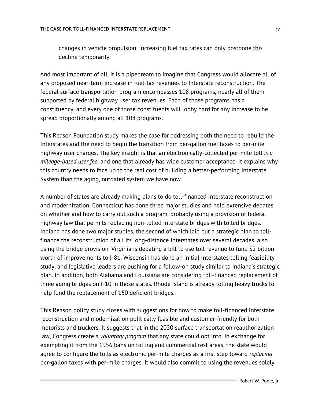changes in vehicle propulsion. Increasing fuel tax rates can only postpone this decline temporarily.

And most important of all, it is a pipedream to imagine that Congress would allocate all of any proposed near-term increase in fuel-tax revenues to Interstate reconstruction. The federal surface transportation program encompasses 108 programs, nearly all of them supported by federal highway user tax revenues. Each of those programs has a constituency, and every one of those constituents will lobby hard for any increase to be spread proportionally among all 108 programs.

This Reason Foundation study makes the case for addressing both the need to rebuild the Interstates and the need to begin the transition from per-gallon fuel taxes to per-mile highway user charges. The key insight is that an electronically-collected per-mile toll *is a mileage-based user fee*, and one that already has wide customer acceptance. It explains why this country needs to face up to the real cost of building a better-performing Interstate System than the aging, outdated system we have now.

A number of states are already making plans to do toll-financed Interstate reconstruction and modernization. Connecticut has done three major studies and held extensive debates on whether and how to carry out such a program, probably using a provision of federal highway law that permits replacing non-tolled Interstate bridges with tolled bridges. Indiana has done two major studies, the second of which laid out a strategic plan to tollfinance the reconstruction of all its long-distance Interstates over several decades, also using the bridge provision. Virginia is debating a bill to use toll revenue to fund \$2 billion worth of improvements to I-81. Wisconsin has done an initial Interstates tolling feasibility study, and legislative leaders are pushing for a follow-on study similar to Indiana's strategic plan. In addition, both Alabama and Louisiana are considering toll-financed replacement of three aging bridges on I-10 in those states. Rhode Island is already tolling heavy trucks to help fund the replacement of 150 deficient bridges.

This Reason policy study closes with suggestions for how to make toll-financed Interstate reconstruction and modernization politically feasible and customer-friendly for both motorists and truckers. It suggests that in the 2020 surface transportation reauthorization law, Congress create a *voluntary program* that any state could opt into. In exchange for exempting it from the 1956 bans on tolling and commercial rest areas, the state would agree to configure the tolls as electronic per-mile charges as a first step toward *replacing* per-gallon taxes with per-mile charges. It would also commit to using the revenues solely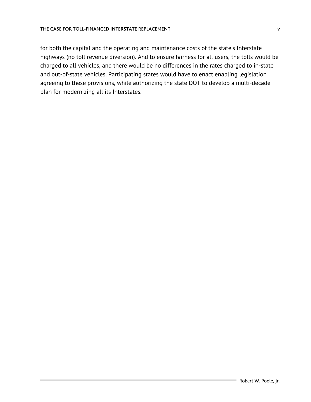for both the capital and the operating and maintenance costs of the state's Interstate highways (no toll revenue diversion). And to ensure fairness for all users, the tolls would be charged to all vehicles, and there would be no differences in the rates charged to in-state and out-of-state vehicles. Participating states would have to enact enabling legislation agreeing to these provisions, while authorizing the state DOT to develop a multi-decade plan for modernizing all its Interstates.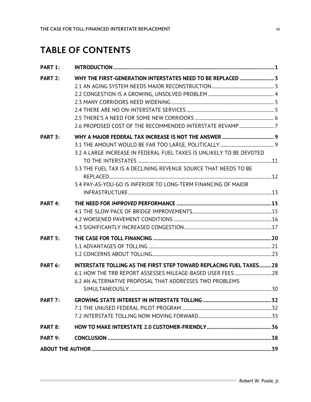## **TABLE OF CONTENTS**

| PART 1: |                                                                      |  |
|---------|----------------------------------------------------------------------|--|
| PART 2: | WHY THE FIRST-GENERATION INTERSTATES NEED TO BE REPLACED  3          |  |
|         |                                                                      |  |
|         |                                                                      |  |
|         |                                                                      |  |
|         |                                                                      |  |
|         |                                                                      |  |
|         | 2.6 PROPOSED COST OF THE RECOMMENDED INTERSTATE REVAMP7              |  |
| PART 3: |                                                                      |  |
|         |                                                                      |  |
|         | 3.2 A LARGE INCREASE IN FEDERAL FUEL TAXES IS UNLIKELY TO BE DEVOTED |  |
|         | 3.3 THE FUEL TAX IS A DECLINING REVENUE SOURCE THAT NEEDS TO BE      |  |
|         | 3.4 PAY-AS-YOU-GO IS INFERIOR TO LONG-TERM FINANCING OF MAJOR        |  |
|         |                                                                      |  |
| PART 4: |                                                                      |  |
|         |                                                                      |  |
|         |                                                                      |  |
|         |                                                                      |  |
| PART 5: |                                                                      |  |
|         |                                                                      |  |
|         |                                                                      |  |
| PART 6: | INTERSTATE TOLLING AS THE FIRST STEP TOWARD REPLACING FUEL TAXES28   |  |
|         |                                                                      |  |
|         | 6.2 AN ALTERNATIVE PROPOSAL THAT ADDRESSES TWO PROBLEMS              |  |
|         |                                                                      |  |
| PART 7: |                                                                      |  |
|         |                                                                      |  |
|         |                                                                      |  |
| PART 8: |                                                                      |  |
| PART 9: |                                                                      |  |
|         |                                                                      |  |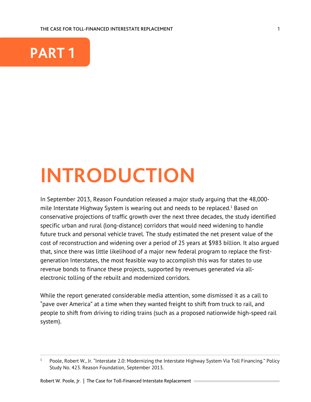THE CASE FOR TOLL-FINANCED INTERESTATE REPLACEMENT



## **INTRODUCTION**

In September 2013, Reason Foundation released a major study arguing that the 48,000 mile Interstate Highway System is wearing out and needs to be replaced.<sup>1</sup> Based on conservative projections of traffic growth over the next three decades, the study identified specific urban and rural (long-distance) corridors that would need widening to handle future truck and personal vehicle travel. The study estimated the net present value of the cost of reconstruction and widening over a period of 25 years at \$983 billion. It also argued that, since there was little likelihood of a major new federal program to replace the firstgeneration Interstates, the most feasible way to accomplish this was for states to use revenue bonds to finance these projects, supported by revenues generated via allelectronic tolling of the rebuilt and modernized corridors.

While the report generated considerable media attention, some dismissed it as a call to "pave over America" at a time when they wanted freight to shift from truck to rail, and people to shift from driving to riding trains (such as a proposed nationwide high-speed rail system).

<sup>&</sup>lt;sup>1</sup> Poole, Robert W., Jr. "Interstate 2.0: Modernizing the Interstate Highway System Via Toll Financing." Policy Study No. 423. Reason Foundation, September 2013.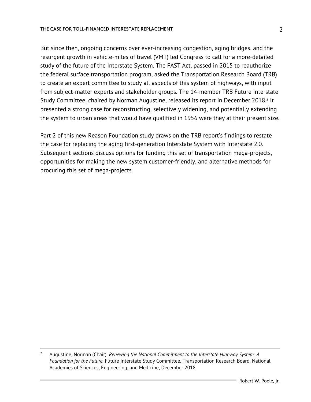#### THE CASE FOR TOLL-FINANCED INTERESTATE REPLACEMENT

But since then, ongoing concerns over ever-increasing congestion, aging bridges, and the resurgent growth in vehicle-miles of travel (VMT) led Congress to call for a more-detailed study of the future of the Interstate System. The FAST Act, passed in 2015 to reauthorize the federal surface transportation program, asked the Transportation Research Board (TRB) to create an expert committee to study all aspects of this system of highways, with input from subject-matter experts and stakeholder groups. The 14-member TRB Future Interstate Study Committee, chaired by Norman Augustine, released its report in December 2018.<sup>2</sup> It presented a strong case for reconstructing, selectively widening, and potentially extending the system to urban areas that would have qualified in 1956 were they at their present size.

Part 2 of this new Reason Foundation study draws on the TRB report's findings to restate the case for replacing the aging first-generation Interstate System with Interstate 2.0. Subsequent sections discuss options for funding this set of transportation mega-projects, opportunities for making the new system customer-friendly, and alternative methods for procuring this set of mega-projects.

<sup>2</sup> Augustine, Norman (Chair). *Renewing the National Commitment to the Interstate Highway System: A Foundation for the Future.* Future Interstate Study Committee. Transportation Research Board. National Academies of Sciences, Engineering, and Medicine, December 2018.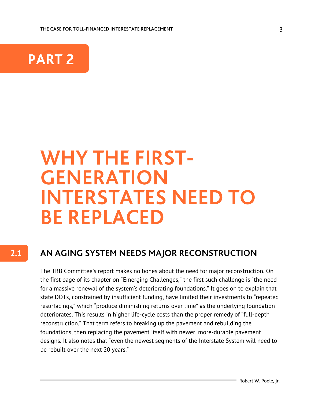

# **WHY THE FIRST- GENERATION INTERSTATES NEED TO BE REPLACED**

### **2.1**

### **AN AGING SYSTEM NEEDS MAJOR RECONSTRUCTION**

The TRB Committee's report makes no bones about the need for major reconstruction. On the first page of its chapter on "Emerging Challenges," the first such challenge is "the need for a massive renewal of the system's deteriorating foundations." It goes on to explain that state DOTs, constrained by insufficient funding, have limited their investments to "repeated resurfacings," which "produce diminishing returns over time" as the underlying foundation deteriorates. This results in higher life-cycle costs than the proper remedy of "full-depth reconstruction." That term refers to breaking up the pavement and rebuilding the foundations, then replacing the pavement itself with newer, more-durable pavement designs. It also notes that "even the newest segments of the Interstate System will need to be rebuilt over the next 20 years."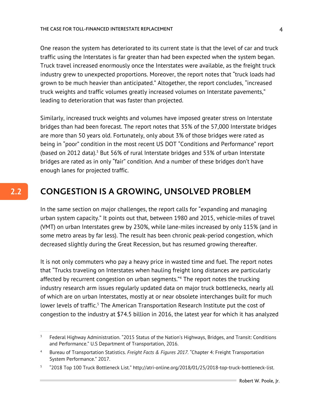One reason the system has deteriorated to its current state is that the level of car and truck traffic using the Interstates is far greater than had been expected when the system began. Truck travel increased enormously once the Interstates were available, as the freight truck industry grew to unexpected proportions. Moreover, the report notes that "truck loads had grown to be much heavier than anticipated." Altogether, the report concludes, "increased truck weights and traffic volumes greatly increased volumes on Interstate pavements," leading to deterioration that was faster than projected.

Similarly, increased truck weights and volumes have imposed greater stress on Interstate bridges than had been forecast. The report notes that 35% of the 57,000 Interstate bridges are more than 50 years old. Fortunately, only about 3% of those bridges were rated as being in "poor" condition in the most recent US DOT "Conditions and Performance" report (based on 2012 data).<sup>3</sup> But 56% of rural Interstate bridges and 53% of urban Interstate bridges are rated as in only "fair" condition. And a number of these bridges don't have enough lanes for projected traffic.

## **CONGESTION IS A GROWING, UNSOLVED PROBLEM**

**2.2**

In the same section on major challenges, the report calls for "expanding and managing urban system capacity." It points out that, between 1980 and 2015, vehicle-miles of travel (VMT) on urban Interstates grew by 230%, while lane-miles increased by only 115% (and in some metro areas by far less). The result has been chronic peak-period congestion, which decreased slightly during the Great Recession, but has resumed growing thereafter.

It is not only commuters who pay a heavy price in wasted time and fuel. The report notes that "Trucks traveling on Interstates when hauling freight long distances are particularly affected by recurrent congestion on urban segments."4 The report notes the trucking industry research arm issues regularly updated data on major truck bottlenecks, nearly all of which are on urban Interstates, mostly at or near obsolete interchanges built for much lower levels of traffic.<sup>5</sup> The American Transportation Research Institute put the cost of congestion to the industry at \$74.5 billion in 2016, the latest year for which it has analyzed

<sup>&</sup>lt;sup>3</sup> Federal Highway Administration. "2015 Status of the Nation's Highways, Bridges, and Transit: Conditions and Performance." U.S Department of Transportation, 2016.

<sup>4</sup> Bureau of Transportation Statistics. *Freight Facts & Figures 2017.* "Chapter 4: Freight Transportation System Performance." 2017.

<sup>5</sup> "2018 Top 100 Truck Bottleneck List." http://atri-online.org/2018/01/25/2018-top-truck-bottleneck-list.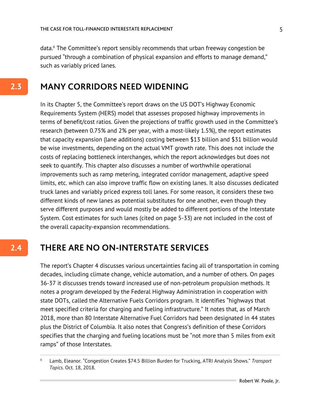data.6 The Committee's report sensibly recommends that urban freeway congestion be pursued "through a combination of physical expansion and efforts to manage demand," such as variably priced lanes.

### **MANY CORRIDORS NEED WIDENING**

In its Chapter 5, the Committee's report draws on the US DOT's Highway Economic Requirements System (HERS) model that assesses proposed highway improvements in terms of benefit/cost ratios. Given the projections of traffic growth used in the Committee's research (between 0.75% and 2% per year, with a most-likely 1.5%), the report estimates that capacity expansion (lane additions) costing between \$13 billion and \$31 billion would be wise investments, depending on the actual VMT growth rate. This does not include the costs of replacing bottleneck interchanges, which the report acknowledges but does not seek to quantify. This chapter also discusses a number of worthwhile operational improvements such as ramp metering, integrated corridor management, adaptive speed limits, etc. which can also improve traffic flow on existing lanes. It also discusses dedicated truck lanes and variably priced express toll lanes. For some reason, it considers these two different kinds of new lanes as potential substitutes for one another, even though they serve different purposes and would mostly be added to different portions of the Interstate System. Cost estimates for such lanes (cited on page 5-33) are not included in the cost of the overall capacity-expansion recommendations.

#### **THERE ARE NO ON-INTERSTATE SERVICES 2.4**

The report's Chapter 4 discusses various uncertainties facing all of transportation in coming decades, including climate change, vehicle automation, and a number of others. On pages 36-37 it discusses trends toward increased use of non-petroleum propulsion methods. It notes a program developed by the Federal Highway Administration in cooperation with state DOTs, called the Alternative Fuels Corridors program. It identifies "highways that meet specified criteria for charging and fueling infrastructure." It notes that, as of March 2018, more than 80 Interstate Alternative Fuel Corridors had been designated in 44 states plus the District of Columbia. It also notes that Congress's definition of these Corridors specifies that the charging and fueling locations must be "not more than 5 miles from exit ramps" of those Interstates.

<sup>6</sup> Lamb, Eleanor. "Congestion Creates \$74.5 Billion Burden for Trucking, ATRI Analysis Shows." *Transport Topics.* Oct. 18, 2018.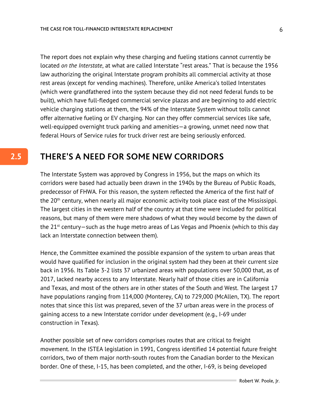The report does not explain why these charging and fueling stations cannot currently be located *on the Interstate*, at what are called Interstate "rest areas." That is because the 1956 law authorizing the original Interstate program prohibits all commercial activity at those rest areas (except for vending machines). Therefore, unlike America's tolled Interstates (which were grandfathered into the system because they did not need federal funds to be built), which have full-fledged commercial service plazas and are beginning to add electric vehicle charging stations at them, the 94% of the Interstate System without tolls cannot offer alternative fueling or EV charging. Nor can they offer commercial services like safe, well-equipped overnight truck parking and amenities—a growing, unmet need now that federal Hours of Service rules for truck driver rest are being seriously enforced.

### **THERE'S A NEED FOR SOME NEW CORRIDORS**

The Interstate System was approved by Congress in 1956, but the maps on which its corridors were based had actually been drawn in the 1940s by the Bureau of Public Roads, predecessor of FHWA. For this reason, the system reflected the America of the first half of the 20<sup>th</sup> century, when nearly all major economic activity took place east of the Mississippi. The largest cities in the western half of the country at that time were included for political reasons, but many of them were mere shadows of what they would become by the dawn of the  $21<sup>st</sup>$  century–such as the huge metro areas of Las Vegas and Phoenix (which to this day lack an Interstate connection between them).

Hence, the Committee examined the possible expansion of the system to urban areas that would have qualified for inclusion in the original system had they been at their current size back in 1956. Its Table 3-2 lists 37 urbanized areas with populations over 50,000 that, as of 2017, lacked nearby access to any Interstate. Nearly half of those cities are in California and Texas, and most of the others are in other states of the South and West. The largest 17 have populations ranging from 114,000 (Monterey, CA) to 729,000 (McAllen, TX). The report notes that since this list was prepared, seven of the 37 urban areas were in the process of gaining access to a new Interstate corridor under development (e.g., I-69 under construction in Texas).

Another possible set of new corridors comprises routes that are critical to freight movement. In the ISTEA legislation in 1991, Congress identified 14 potential future freight corridors, two of them major north-south routes from the Canadian border to the Mexican border. One of these, I-15, has been completed, and the other, I-69, is being developed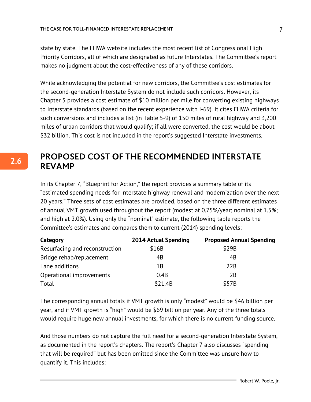state by state. The FHWA website includes the most recent list of Congressional High Priority Corridors, all of which are designated as future Interstates. The Committee's report makes no judgment about the cost-effectiveness of any of these corridors.

While acknowledging the potential for new corridors, the Committee's cost estimates for the second-generation Interstate System do not include such corridors. However, its Chapter 5 provides a cost estimate of \$10 million per mile for converting existing highways to Interstate standards (based on the recent experience with I-69). It cites FHWA criteria for such conversions and includes a list (in Table 5-9) of 150 miles of rural highway and 3,200 miles of urban corridors that would qualify; if all were converted, the cost would be about \$32 billion. This cost is not included in the report's suggested Interstate investments.

### **PROPOSED COST OF THE RECOMMENDED INTERSTATE REVAMP**

In its Chapter 7, "Blueprint for Action," the report provides a summary table of its "estimated spending needs for Interstate highway renewal and modernization over the next 20 years." Three sets of cost estimates are provided, based on the three different estimates of annual VMT growth used throughout the report (modest at 0.75%/year; nominal at 1.5%; and high at 2.0%). Using only the "nominal" estimate, the following table reports the Committee's estimates and compares them to current (2014) spending levels:

| Category                       | 2014 Actual Spending | <b>Proposed Annual Spending</b> |
|--------------------------------|----------------------|---------------------------------|
| Resurfacing and reconstruction | \$16B                | \$29B                           |
| Bridge rehab/replacement       | 4B                   | 4B                              |
| Lane additions                 | 1B                   | 22B                             |
| Operational improvements       | 0.4B                 | 2B                              |
| Total                          | \$21.4B              | \$57B                           |

The corresponding annual totals if VMT growth is only "modest" would be \$46 billion per year, and if VMT growth is "high" would be \$69 billion per year. Any of the three totals would require huge new annual investments, for which there is no current funding source.

And those numbers do not capture the full need for a second-generation Interstate System, as documented in the report's chapters. The report's Chapter 7 also discusses "spending that will be required" but has been omitted since the Committee was unsure how to quantify it. This includes:

7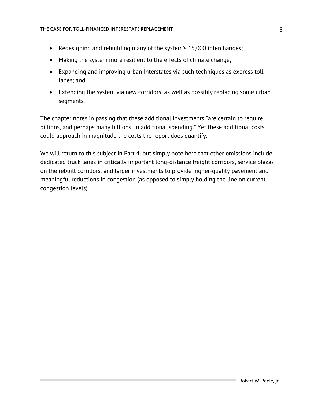- Redesigning and rebuilding many of the system's 15,000 interchanges;
- Making the system more resilient to the effects of climate change;
- Expanding and improving urban Interstates via such techniques as express toll lanes; and,
- Extending the system via new corridors, as well as possibly replacing some urban segments.

The chapter notes in passing that these additional investments "are certain to require billions, and perhaps many billions, in additional spending." Yet these additional costs could approach in magnitude the costs the report does quantify.

We will return to this subject in Part 4, but simply note here that other omissions include dedicated truck lanes in critically important long-distance freight corridors, service plazas on the rebuilt corridors, and larger investments to provide higher-quality pavement and meaningful reductions in congestion (as opposed to simply holding the line on current congestion levels).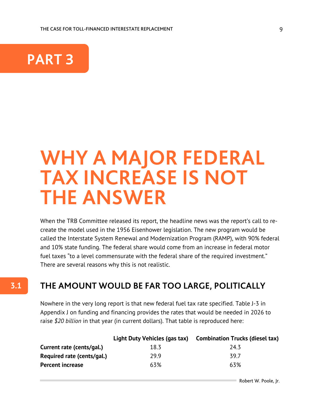

**3.1**

## **WHY A MAJOR FEDERAL TAX INCREASE IS NOT THE ANSWER**

When the TRB Committee released its report, the headline news was the report's call to recreate the model used in the 1956 Eisenhower legislation. The new program would be called the Interstate System Renewal and Modernization Program (RAMP), with 90% federal and 10% state funding. The federal share would come from an increase in federal motor fuel taxes "to a level commensurate with the federal share of the required investment." There are several reasons why this is not realistic.

### **THE AMOUNT WOULD BE FAR TOO LARGE, POLITICALLY**

Nowhere in the very long report is that new federal fuel tax rate specified. Table J-3 in Appendix J on funding and financing provides the rates that would be needed in 2026 to raise *\$20 billion* in that year (in current dollars). That table is reproduced here:

|                            |      | Light Duty Vehicles (gas tax) Combination Trucks (diesel tax) |
|----------------------------|------|---------------------------------------------------------------|
| Current rate (cents/gal.)  | 18.3 | 24.3                                                          |
| Required rate (cents/gal.) | 29 9 | 397                                                           |
| <b>Percent increase</b>    | 63%  | 63%                                                           |
|                            |      |                                                               |

Robert W. Poole, Jr.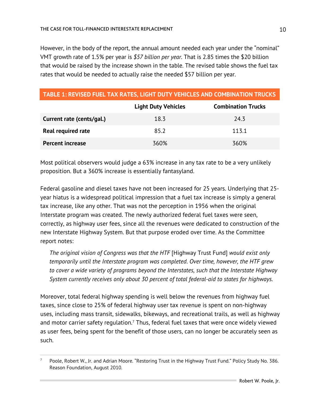However, in the body of the report, the annual amount needed each year under the "nominal" VMT growth rate of 1.5% per year is *\$57 billion per year*. That is 2.85 times the \$20 billion that would be raised by the increase shown in the table. The revised table shows the fuel tax rates that would be needed to actually raise the needed \$57 billion per year.

| <b>TABLE 1: REVISED FUEL TAX RATES, LIGHT DUTY VEHICLES AND COMBINATION TRUCKS</b> |  |
|------------------------------------------------------------------------------------|--|
|                                                                                    |  |

|                           | <b>Light Duty Vehicles</b> | <b>Combination Trucks</b> |
|---------------------------|----------------------------|---------------------------|
| Current rate (cents/gal.) | 18.3                       | 24.3                      |
| <b>Real required rate</b> | 85.2                       | 113.1                     |
| <b>Percent increase</b>   | 360%                       | 360%                      |

Most political observers would judge a 63% increase in any tax rate to be a very unlikely proposition. But a 360% increase is essentially fantasyland.

Federal gasoline and diesel taxes have not been increased for 25 years. Underlying that 25 year hiatus is a widespread political impression that a fuel tax increase is simply a general tax increase, like any other. That was not the perception in 1956 when the original Interstate program was created. The newly authorized federal fuel taxes were seen, correctly, as highway user fees, since all the revenues were dedicated to construction of the new Interstate Highway System. But that purpose eroded over time. As the Committee report notes:

*The original vision of Congress was that the HTF* [Highway Trust Fund] *would exist only temporarily until the Interstate program was completed. Over time, however, the HTF grew to cover a wide variety of programs beyond the Interstates, such that the Interstate Highway System currently receives only about 30 percent of total federal-aid to states for highways.*

Moreover, total federal highway spending is well below the revenues from highway fuel taxes, since close to 25% of federal highway user tax revenue is spent on non-highway uses, including mass transit, sidewalks, bikeways, and recreational trails, as well as highway and motor carrier safety regulation.<sup>7</sup> Thus, federal fuel taxes that were once widely viewed as user fees, being spent for the benefit of those users, can no longer be accurately seen as such.

<sup>&</sup>lt;sup>7</sup> Poole, Robert W., Jr. and Adrian Moore. "Restoring Trust in the Highway Trust Fund." Policy Study No. 386. Reason Foundation, August 2010.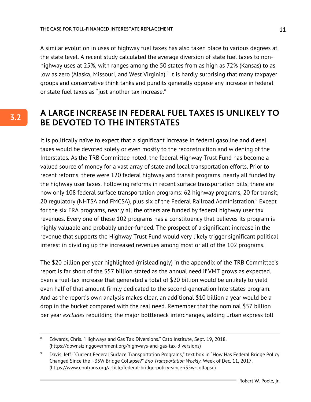A similar evolution in uses of highway fuel taxes has also taken place to various degrees at the state level. A recent study calculated the average diversion of state fuel taxes to nonhighway uses at 25%, with ranges among the 50 states from as high as 72% (Kansas) to as low as zero (Alaska, Missouri, and West Virginia).<sup>8</sup> It is hardly surprising that many taxpayer groups and conservative think tanks and pundits generally oppose any increase in federal or state fuel taxes as "just another tax increase."

### **A LARGE INCREASE IN FEDERAL FUEL TAXES IS UNLIKELY TO BE DEVOTED TO THE INTERSTATES**

It is politically naïve to expect that a significant increase in federal gasoline and diesel taxes would be devoted solely or even mostly to the reconstruction and widening of the Interstates. As the TRB Committee noted, the federal Highway Trust Fund has become a valued source of money for a vast array of state and local transportation efforts. Prior to recent reforms, there were 120 federal highway and transit programs, nearly all funded by the highway user taxes. Following reforms in recent surface transportation bills, there are now only 108 federal surface transportation programs: 62 highway programs, 20 for transit, 20 regulatory (NHTSA and FMCSA), plus six of the Federal Railroad Administration.<sup>9</sup> Except for the six FRA programs, nearly all the others are funded by federal highway user tax revenues. Every one of these 102 programs has a constituency that believes its program is highly valuable and probably under-funded. The prospect of a significant increase in the revenue that supports the Highway Trust Fund would very likely trigger significant political interest in dividing up the increased revenues among most or all of the 102 programs.

The \$20 billion per year highlighted (misleadingly) in the appendix of the TRB Committee's report is far short of the \$57 billion stated as the annual need if VMT grows as expected. Even a fuel-tax increase that generated a total of \$20 billion would be unlikely to yield even half of that amount firmly dedicated to the second-generation Interstates program. And as the report's own analysis makes clear, an additional \$10 billion a year would be a drop in the bucket compared with the real need. Remember that the nominal \$57 billion per year *excludes* rebuilding the major bottleneck interchanges, adding urban express toll

<sup>8</sup> Edwards, Chris. "Highways and Gas Tax Diversions." Cato Institute, Sept. 19, 2018. (https://downsizinggovernment.org/highways-and-gas-tax-diversions)

<sup>&</sup>lt;sup>9</sup> Davis, Jeff. "Current Federal Surface Transportation Programs," text box in "How Has Federal Bridge Policy Changed Since the I-35W Bridge Collapse?" *Eno Transportation Weekly*, Week of Dec. 11, 2017. (https://www.enotrans.org/article/federal-bridge-policy-since-i35w-collapse)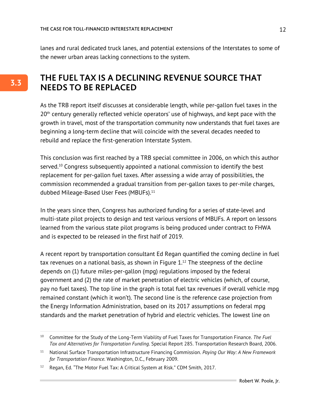lanes and rural dedicated truck lanes, and potential extensions of the Interstates to some of the newer urban areas lacking connections to the system.

## **THE FUEL TAX IS A DECLINING REVENUE SOURCE THAT NEEDS TO BE REPLACED**

As the TRB report itself discusses at considerable length, while per-gallon fuel taxes in the 20<sup>th</sup> century generally reflected vehicle operators' use of highways, and kept pace with the growth in travel, most of the transportation community now understands that fuel taxes are beginning a long-term decline that will coincide with the several decades needed to rebuild and replace the first-generation Interstate System.

This conclusion was first reached by a TRB special committee in 2006, on which this author served.<sup>10</sup> Congress subsequently appointed a national commission to identify the best replacement for per-gallon fuel taxes. After assessing a wide array of possibilities, the commission recommended a gradual transition from per-gallon taxes to per-mile charges, dubbed Mileage-Based User Fees (MBUFs).<sup>11</sup>

In the years since then, Congress has authorized funding for a series of state-level and multi-state pilot projects to design and test various versions of MBUFs. A report on lessons learned from the various state pilot programs is being produced under contract to FHWA and is expected to be released in the first half of 2019.

A recent report by transportation consultant Ed Regan quantified the coming decline in fuel tax revenues on a national basis, as shown in Figure  $1<sup>12</sup>$  The steepness of the decline depends on (1) future miles-per-gallon (mpg) regulations imposed by the federal government and (2) the rate of market penetration of electric vehicles (which, of course, pay no fuel taxes). The top line in the graph is total fuel tax revenues if overall vehicle mpg remained constant (which it won't). The second line is the reference case projection from the Energy Information Administration, based on its 2017 assumptions on federal mpg standards and the market penetration of hybrid and electric vehicles. The lowest line on

<sup>10</sup> Committee for the Study of the Long-Term Viability of Fuel Taxes for Transportation Finance. *The Fuel Tax and Alternatives for Transportation Funding.* Special Report 285. Transportation Research Board, 2006.

<sup>11</sup> National Surface Transportation Infrastructure Financing Commission. *Paying Our Way: A New Framework for Transportation Finance.* Washington, D.C., February 2009.

<sup>&</sup>lt;sup>12</sup> Regan, Ed. "The Motor Fuel Tax: A Critical System at Risk." CDM Smith, 2017.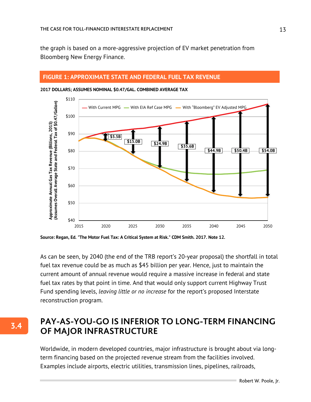the graph is based on a more-aggressive projection of EV market penetration from Bloomberg New Energy Finance.

#### **FIGURE 1: APPROXIMATE STATE AND FEDERAL FUEL TAX REVENUE**



**2017 DOLLARS; ASSUMES NOMINAL \$0.47/GAL. COMBINED AVERAGE TAX**

**Source: Regan, Ed. "The Motor Fuel Tax: A Critical System at Risk." CDM Smith. 2017. Note 12.**

**3.4**

As can be seen, by 2040 (the end of the TRB report's 20-year proposal) the shortfall in total fuel tax revenue could be as much as \$45 billion per year. Hence, just to maintain the current amount of annual revenue would require a massive increase in federal and state fuel tax rates by that point in time. And that would only support current Highway Trust Fund spending levels, *leaving little or no increase* for the report's proposed Interstate reconstruction program.

### **PAY-AS-YOU-GO IS INFERIOR TO LONG-TERM FINANCING OF MAJOR INFRASTRUCTURE**

Worldwide, in modern developed countries, major infrastructure is brought about via longterm financing based on the projected revenue stream from the facilities involved. Examples include airports, electric utilities, transmission lines, pipelines, railroads,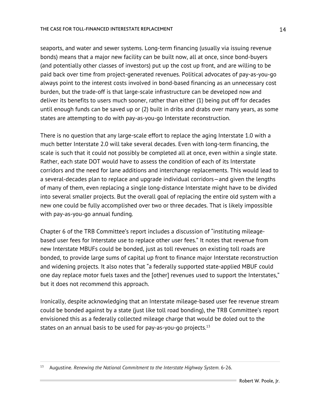seaports, and water and sewer systems. Long-term financing (usually via issuing revenue bonds) means that a major new facility can be built now, all at once, since bond-buyers (and potentially other classes of investors) put up the cost up front, and are willing to be paid back over time from project-generated revenues. Political advocates of pay-as-you-go always point to the interest costs involved in bond-based financing as an unnecessary cost burden, but the trade-off is that large-scale infrastructure can be developed now and deliver its benefits to users much sooner, rather than either (1) being put off for decades until enough funds can be saved up or (2) built in dribs and drabs over many years, as some states are attempting to do with pay-as-you-go Interstate reconstruction.

There is no question that any large-scale effort to replace the aging Interstate 1.0 with a much better Interstate 2.0 will take several decades. Even with long-term financing, the scale is such that it could not possibly be completed all at once, even within a single state. Rather, each state DOT would have to assess the condition of each of its Interstate corridors and the need for lane additions and interchange replacements. This would lead to a several-decades plan to replace and upgrade individual corridors—and given the lengths of many of them, even replacing a single long-distance Interstate might have to be divided into several smaller projects. But the overall goal of replacing the entire old system with a new one could be fully accomplished over two or three decades. That is likely impossible with pay-as-you-go annual funding.

Chapter 6 of the TRB Committee's report includes a discussion of "instituting mileagebased user fees for Interstate use to replace other user fees." It notes that revenue from new Interstate MBUFs could be bonded, just as toll revenues on existing toll roads are bonded, to provide large sums of capital up front to finance major Interstate reconstruction and widening projects. It also notes that "a federally supported state-applied MBUF could one day replace motor fuels taxes and the [other] revenues used to support the Interstates," but it does not recommend this approach.

Ironically, despite acknowledging that an Interstate mileage-based user fee revenue stream could be bonded against by a state (just like toll road bonding), the TRB Committee's report envisioned this as a federally collected mileage charge that would be doled out to the states on an annual basis to be used for pay-as-you-go projects. $13$ 

<sup>13</sup> Augustine. *Renewing the National Commitment to the Interstate Highway System*. 6-26.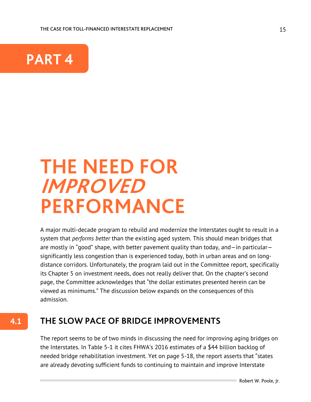

**4.1**

## **THE NEED FOR IMPROVED PERFORMANCE**

A major multi-decade program to rebuild and modernize the Interstates ought to result in a system that *performs better* than the existing aged system. This should mean bridges that are mostly in "good" shape, with better pavement quality than today, and—in particular significantly less congestion than is experienced today, both in urban areas and on longdistance corridors. Unfortunately, the program laid out in the Committee report, specifically its Chapter 5 on investment needs, does not really deliver that. On the chapter's second page, the Committee acknowledges that "the dollar estimates presented herein can be viewed as minimums." The discussion below expands on the consequences of this admission.

## **THE SLOW PACE OF BRIDGE IMPROVEMENTS**

The report seems to be of two minds in discussing the need for improving aging bridges on the Interstates. In Table 5-1 it cites FHWA's 2016 estimates of a \$44 billion backlog of needed bridge rehabilitation investment. Yet on page 5-18, the report asserts that "states are already devoting sufficient funds to continuing to maintain and improve Interstate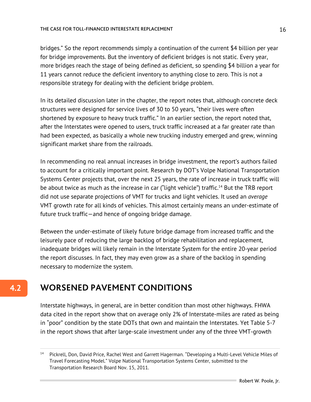#### THE CASE FOR TOLL-FINANCED INTERESTATE REPLACEMENT

bridges." So the report recommends simply a continuation of the current \$4 billion per year for bridge improvements. But the inventory of deficient bridges is not static. Every year, more bridges reach the stage of being defined as deficient, so spending \$4 billion a year for 11 years cannot reduce the deficient inventory to anything close to zero. This is not a responsible strategy for dealing with the deficient bridge problem.

In its detailed discussion later in the chapter, the report notes that, although concrete deck structures were designed for service lives of 30 to 50 years, "their lives were often shortened by exposure to heavy truck traffic." In an earlier section, the report noted that, after the Interstates were opened to users, truck traffic increased at a far greater rate than had been expected, as basically a whole new trucking industry emerged and grew, winning significant market share from the railroads.

In recommending no real annual increases in bridge investment, the report's authors failed to account for a critically important point. Research by DOT's Volpe National Transportation Systems Center projects that, over the next 25 years, the rate of increase in truck traffic will be about twice as much as the increase in car ("light vehicle") traffic.<sup>14</sup> But the TRB report did not use separate projections of VMT for trucks and light vehicles. It used an *average* VMT growth rate for all kinds of vehicles. This almost certainly means an under-estimate of future truck traffic—and hence of ongoing bridge damage.

Between the under-estimate of likely future bridge damage from increased traffic and the leisurely pace of reducing the large backlog of bridge rehabilitation and replacement, inadequate bridges will likely remain in the Interstate System for the entire 20-year period the report discusses. In fact, they may even grow as a share of the backlog in spending necessary to modernize the system.

## **WORSENED PAVEMENT CONDITIONS**

Interstate highways, in general, are in better condition than most other highways. FHWA data cited in the report show that on average only 2% of Interstate-miles are rated as being in "poor" condition by the state DOTs that own and maintain the Interstates. Yet Table 5-7 in the report shows that after large-scale investment under any of the three VMT-growth

<sup>14</sup> Pickrell, Don, David Price, Rachel West and Garrett Hagerman. "Developing a Multi-Level Vehicle Miles of Travel Forecasting Model." Volpe National Transportation Systems Center, submitted to the Transportation Research Board Nov. 15, 2011.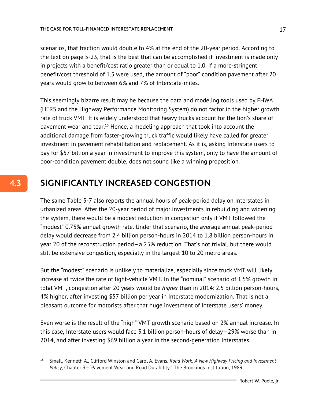scenarios, that fraction would double to 4% at the end of the 20-year period. According to the text on page 5-23, that is the best that can be accomplished if investment is made only in projects with a benefit/cost ratio greater than or equal to 1.0. If a more-stringent benefit/cost threshold of 1.5 were used, the amount of "poor" condition pavement after 20 years would grow to between 6% and 7% of Interstate-miles.

This seemingly bizarre result may be because the data and modeling tools used by FHWA (HERS and the Highway Performance Monitoring System) do not factor in the higher growth rate of truck VMT. It is widely understood that heavy trucks account for the lion's share of pavement wear and tear.<sup>15</sup> Hence, a modeling approach that took into account the additional damage from faster-growing truck traffic would likely have called for greater investment in pavement rehabilitation and replacement. As it is, asking Interstate users to pay for \$57 billion a year in investment to improve this system, only to have the amount of poor-condition pavement double, does not sound like a winning proposition.

## **SIGNIFICANTLY INCREASED CONGESTION**

The same Table 5-7 also reports the annual hours of peak-period delay on Interstates in urbanized areas. After the 20-year period of major investments in rebuilding and widening the system, there would be a modest reduction in congestion only if VMT followed the "modest" 0.75% annual growth rate. Under that scenario, the average annual peak-period delay would decrease from 2.4 billion person-hours in 2014 to 1.8 billion person-hours in year 20 of the reconstruction period—a 25% reduction. That's not trivial, but there would still be extensive congestion, especially in the largest 10 to 20 metro areas.

But the "modest" scenario is unlikely to materialize, especially since truck VMT will likely increase at twice the rate of light-vehicle VMT. In the "nominal" scenario of 1.5% growth in total VMT, congestion after 20 years would be *higher* than in 2014: 2.5 billion person-hours, 4% higher, after investing \$57 billion per year in Interstate modernization. That is not a pleasant outcome for motorists after that huge investment of Interstate users' money.

Even worse is the result of the "high" VMT growth scenario based on 2% annual increase. In this case, Interstate users would face 3.1 billion person-hours of delay—29% worse than in 2014, and after investing \$69 billion a year in the second-generation Interstates.

<sup>15</sup> Small, Kenneth A., Clifford Winston and Carol A. Evans. *Road Work: A New Highway Pricing and Investment Policy*, Chapter 3—"Pavement Wear and Road Durability." The Brookings Institution, 1989.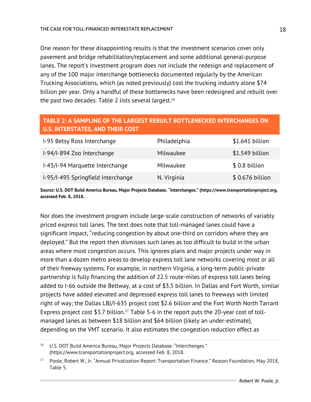One reason for these disappointing results is that the investment scenarios cover only pavement and bridge rehabilitation/replacement and some additional general-purpose lanes. The report's investment program does not include the redesign and replacement of any of the 100 major interchange bottlenecks documented regularly by the American Trucking Associations, which (as noted previously) cost the trucking industry alone \$74 billion per year. Only a handful of these bottlenecks have been redesigned and rebuilt over the past two decades. Table 2 lists several largest.<sup>16</sup>

## **TABLE 2: A SAMPLING OF THE LARGEST REBUILT BOTTLENECKED INTERCHANGES ON U.S. INTERSTATES, AND THEIR COST**

| I-95 Betsy Ross Interchange        | Philadelphia | $$1.641$ billion |
|------------------------------------|--------------|------------------|
| I-94/I-894 Zoo Interchange         | Milwaukee    | \$1.549 billion  |
| I-43/I-94 Marquette Interchange    | Milwaukee    | $$0.8$ billion   |
| I-95/I-495 Springfield Interchange | N. Virginia  | \$ 0.676 billion |

**Source: U.S. DOT Build America Bureau, Major Projects Database. "Interchanges." (https://www.transportationproject.org, accessed Feb. 8, 2018.**

Nor does the investment program include large-scale construction of networks of variably priced express toll lanes. The text does note that toll-managed lanes could have a significant impact, "reducing congestion by about one-third on corridors where they are deployed." But the report then dismisses such lanes as too difficult to build in the urban areas where most congestion occurs. This ignores plans and major projects under way in more than a dozen metro areas to develop express toll lane networks covering most or all of their freeway systems. For example, in northern Virginia, a long-term public-private partnership is fully financing the addition of 22.5 route-miles of express toll lanes being added to I-66 outside the Beltway, at a cost of \$3.5 billion. In Dallas and Fort Worth, similar projects have added elevated and depressed express toll lanes to freeways with limited right of way; the Dallas LBJ/I-635 project cost \$2.6 billion and the Fort Worth North Tarrant Express project cost \$3.7 billion.<sup>17</sup> Table 5-6 in the report puts the 20-year cost of tollmanaged lanes as between \$18 billion and \$64 billion (likely an under-estimate), depending on the VMT scenario. It also estimates the congestion reduction effect as

<sup>16</sup> U.S. DOT Build America Bureau, Major Projects Database. "Interchanges." (https://www.transportationproject.org, accessed Feb. 8, 2018.

<sup>&</sup>lt;sup>17</sup> Poole, Robert W., Jr. "Annual Privatization Report: Transportation Finance." Reason Foundation, May 2018, Table 5.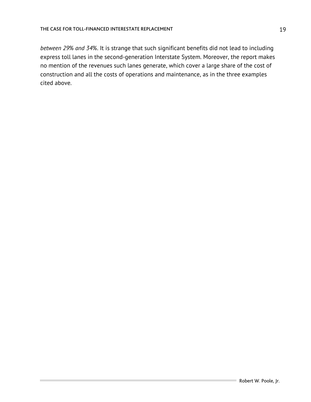*between 29% and 34%*. It is strange that such significant benefits did not lead to including express toll lanes in the second-generation Interstate System. Moreover, the report makes no mention of the revenues such lanes generate, which cover a large share of the cost of construction and all the costs of operations and maintenance, as in the three examples cited above.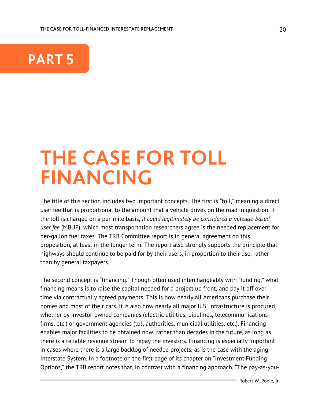

## **THE CASE FOR TOLL FINANCING**

The title of this section includes two important concepts. The first is "toll," meaning a direct user fee that is proportional to the amount that a vehicle drives on the road in question. If the toll is charged on a per-mile basis, *it could legitimately be considered a mileage-based user fee* (MBUF), which most transportation researchers agree is the needed replacement for per-gallon fuel taxes. The TRB Committee report is in general agreement on this proposition, at least in the longer term. The report also strongly supports the principle that highways should continue to be paid for by their users, in proportion to their use, rather than by general taxpayers.

The second concept is "financing." Though often used interchangeably with "funding," what financing means is to raise the capital needed for a project up front, and pay it off over time via contractually agreed payments. This is how nearly all Americans purchase their homes and most of their cars. It is also how nearly all major U.S. infrastructure is procured, whether by investor-owned companies (electric utilities, pipelines, telecommunications firms, etc.) or government agencies (toll authorities, municipal utilities, etc.). Financing enables major facilities to be obtained now, rather than decades in the future, as long as there is a reliable revenue stream to repay the investors. Financing is especially important in cases where there is a large backlog of needed projects, as is the case with the aging Interstate System. In a footnote on the first page of its chapter on "Investment Funding Options," the TRB report notes that, in contrast with a financing approach, "The pay-as-you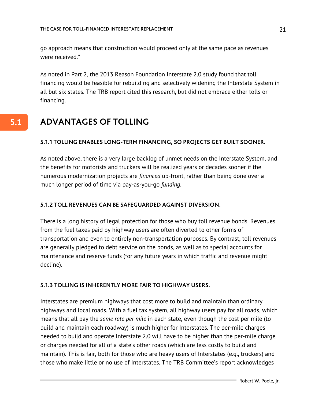go approach means that construction would proceed only at the same pace as revenues were received."

As noted in Part 2, the 2013 Reason Foundation Interstate 2.0 study found that toll financing would be feasible for rebuilding and selectively widening the Interstate System in all but six states. The TRB report cited this research, but did not embrace either tolls or financing.

#### **ADVANTAGES OF TOLLING 5.1**

#### **5.1.1 TOLLING ENABLES LONG-TERM FINANCING, SO PROJECTS GET BUILT SOONER.**

As noted above, there is a very large backlog of unmet needs on the Interstate System, and the benefits for motorists and truckers will be realized years or decades sooner if the numerous modernization projects are *financed* up-front, rather than being done over a much longer period of time via pay-as-you-go *funding*.

#### **5.1.2 TOLL REVENUES CAN BE SAFEGUARDED AGAINST DIVERSION.**

There is a long history of legal protection for those who buy toll revenue bonds. Revenues from the fuel taxes paid by highway users are often diverted to other forms of transportation and even to entirely non-transportation purposes. By contrast, toll revenues are generally pledged to debt service on the bonds, as well as to special accounts for maintenance and reserve funds (for any future years in which traffic and revenue might decline).

#### **5.1.3 TOLLING IS INHERENTLY MORE FAIR TO HIGHWAY USERS.**

Interstates are premium highways that cost more to build and maintain than ordinary highways and local roads. With a fuel tax system, all highway users pay for all roads, which means that all pay the *same rate per mile* in each state, even though the cost per mile (to build and maintain each roadway) is much higher for Interstates. The per-mile charges needed to build and operate Interstate 2.0 will have to be higher than the per-mile charge or charges needed for all of a state's other roads (which are less costly to build and maintain). This is fair, both for those who are heavy users of Interstates (e.g., truckers) and those who make little or no use of Interstates. The TRB Committee's report acknowledges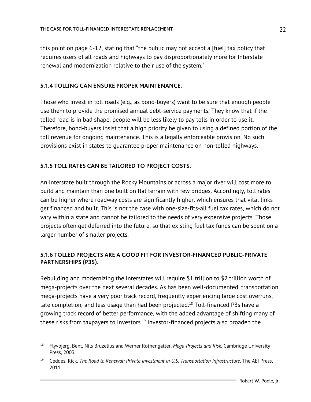this point on page 6-12, stating that "the public may not accept a [fuel] tax policy that requires users of all roads and highways to pay disproportionately more for Interstate renewal and modernization relative to their use of the system."

#### **5.1.4 TOLLING CAN ENSURE PROPER MAINTENANCE.**

Those who invest in toll roads (e.g., as bond-buyers) want to be sure that enough people use them to provide the promised annual debt-service payments. They know that if the tolled road is in bad shape, people will be less likely to pay tolls in order to use it. Therefore, bond-buyers insist that a high priority be given to using a defined portion of the toll revenue for ongoing maintenance. This is a legally enforceable provision. No such provisions exist in states to guarantee proper maintenance on non-tolled highways.

#### **5.1.5 TOLL RATES CAN BE TAILORED TO PROJECT COSTS.**

An Interstate built through the Rocky Mountains or across a major river will cost more to build and maintain than one built on flat terrain with few bridges. Accordingly, toll rates can be higher where roadway costs are significantly higher, which ensures that vital links get financed and built. This is not the case with one-size-fits-all fuel tax rates, which do not vary within a state and cannot be tailored to the needs of very expensive projects. Those projects often get deferred into the future, so that existing fuel tax funds can be spent on a larger number of smaller projects.

#### **5.1.6 TOLLED PROJECTS ARE A GOOD FIT FOR INVESTOR-FINANCED PUBLIC-PRIVATE PARTNERSHIPS (P3S).**

Rebuilding and modernizing the Interstates will require \$1 trillion to \$2 trillion worth of mega-projects over the next several decades. As has been well-documented, transportation mega-projects have a very poor track record, frequently experiencing large cost overruns, late completion, and less usage than had been projected.<sup>18</sup> Toll-financed P3s have a growing track record of better performance, with the added advantage of shifting many of these risks from taxpayers to investors.<sup>19</sup> Investor-financed projects also broaden the

<sup>18</sup> Flyvbjerg, Bent, Nils Bruzelius and Werner Rothengatter. *Mega-Projects and Risk.* Cambridge University Press, 2003.

<sup>19</sup> Geddes, Rick. *The Road to Renewal: Private Investment in U.S. Transportation Infrastructure.* The AEI Press, 2011.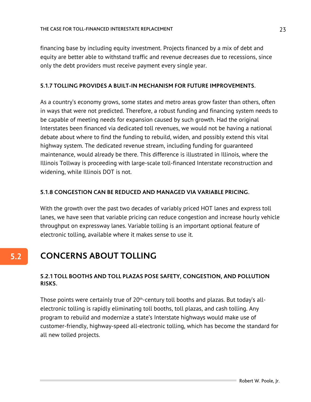financing base by including equity investment. Projects financed by a mix of debt and equity are better able to withstand traffic and revenue decreases due to recessions, since only the debt providers must receive payment every single year.

#### **5.1.7 TOLLING PROVIDES A BUILT-IN MECHANISM FOR FUTURE IMPROVEMENTS.**

As a country's economy grows, some states and metro areas grow faster than others, often in ways that were not predicted. Therefore, a robust funding and financing system needs to be capable of meeting needs for expansion caused by such growth. Had the original Interstates been financed via dedicated toll revenues, we would not be having a national debate about where to find the funding to rebuild, widen, and possibly extend this vital highway system. The dedicated revenue stream, including funding for guaranteed maintenance, would already be there. This difference is illustrated in Illinois, where the Illinois Tollway is proceeding with large-scale toll-financed Interstate reconstruction and widening, while Illinois DOT is not.

#### **5.1.8 CONGESTION CAN BE REDUCED AND MANAGED VIA VARIABLE PRICING.**

With the growth over the past two decades of variably priced HOT lanes and express toll lanes, we have seen that variable pricing can reduce congestion and increase hourly vehicle throughput on expressway lanes. Variable tolling is an important optional feature of electronic tolling, available where it makes sense to use it.

## **CONCERNS ABOUT TOLLING**

#### **5.2.1 TOLL BOOTHS AND TOLL PLAZAS POSE SAFETY, CONGESTION, AND POLLUTION RISKS.**

Those points were certainly true of 20<sup>th</sup>-century toll booths and plazas. But today's allelectronic tolling is rapidly eliminating toll booths, toll plazas, and cash tolling. Any program to rebuild and modernize a state's Interstate highways would make use of customer-friendly, highway-speed all-electronic tolling, which has become the standard for all new tolled projects.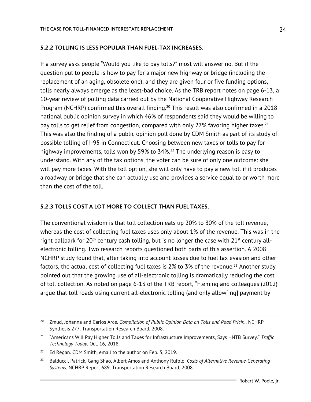#### **5.2.2 TOLLING IS LESS POPULAR THAN FUEL-TAX INCREASES.**

If a survey asks people "Would you like to pay tolls?" most will answer no. But if the question put to people is how to pay for a major new highway or bridge (including the replacement of an aging, obsolete one), and they are given four or five funding options, tolls nearly always emerge as the least-bad choice. As the TRB report notes on page 6-13, a 10-year review of polling data carried out by the National Cooperative Highway Research Program (NCHRP) confirmed this overall finding.<sup>20</sup> This result was also confirmed in a 2018 national public opinion survey in which 46% of respondents said they would be willing to pay tolls to get relief from congestion, compared with only 27% favoring higher taxes.<sup>21</sup> This was also the finding of a public opinion poll done by CDM Smith as part of its study of possible tolling of I-95 in Connecticut. Choosing between new taxes or tolls to pay for highway improvements, tolls won by 59% to 34%.<sup>22</sup> The underlying reason is easy to understand. With any of the tax options, the voter can be sure of only one outcome: she will pay more taxes. With the toll option, she will only have to pay a new toll if it produces a roadway or bridge that she can actually use and provides a service equal to or worth more than the cost of the toll.

#### **5.2.3 TOLLS COST A LOT MORE TO COLLECT THAN FUEL TAXES.**

The conventional wisdom is that toll collection eats up 20% to 30% of the toll revenue, whereas the cost of collecting fuel taxes uses only about 1% of the revenue. This was in the right ballpark for 20<sup>th</sup> century cash tolling, but is no longer the case with  $21<sup>st</sup>$  century allelectronic tolling. Two research reports questioned both parts of this assertion. A 2008 NCHRP study found that, after taking into account losses due to fuel tax evasion and other factors, the actual cost of collecting fuel taxes is 2% to 3% of the revenue.<sup>23</sup> Another study pointed out that the growing use of all-electronic tolling is dramatically reducing the cost of toll collection. As noted on page 6-13 of the TRB report, "Fleming and colleagues (2012) argue that toll roads using current all-electronic tolling (and only allow[ing] payment by

<sup>20</sup> Zmud, Johanna and Carlos Arce. *Compilation of Public Opinion Data on Tolls and Road Pricin.*, NCHRP Synthesis 277. Transportation Research Board, 2008.

<sup>21</sup> "Americans Will Pay Higher Tolls and Taxes for Infrastructure Improvements, Says HNTB Survey." *Traffic Technology Today.* Oct. 16, 2018.

<sup>&</sup>lt;sup>22</sup> Ed Regan. CDM Smith, email to the author on Feb. 5, 2019.

<sup>23</sup> Balducci, Patrick, Gang Shao, Albert Amos and Anthony Rufolo. *Costs of Alternative Revenue-Generating Systems.* NCHRP Report 689. Transportation Research Board, 2008.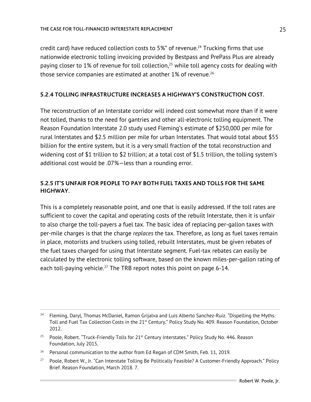credit card) have reduced collection costs to 5%" of revenue.<sup>24</sup> Trucking firms that use nationwide electronic tolling invoicing provided by Bestpass and PrePass Plus are already paying closer to 1% of revenue for toll collection, $25$  while toll agency costs for dealing with those service companies are estimated at another  $1\%$  of revenue.<sup>26</sup>

#### **5.2.4 TOLLING INFRASTRUCTURE INCREASES A HIGHWAY'S CONSTRUCTION COST.**

The reconstruction of an Interstate corridor will indeed cost somewhat more than if it were not tolled, thanks to the need for gantries and other all-electronic tolling equipment. The Reason Foundation Interstate 2.0 study used Fleming's estimate of \$250,000 per mile for rural Interstates and \$2.5 million per mile for urban Interstates. That would total about \$55 billion for the entire system, but it is a very small fraction of the total reconstruction and widening cost of \$1 trillion to \$2 trillion; at a total cost of \$1.5 trillion, the tolling system's additional cost would be .07%—less than a rounding error.

#### **5.2.5 IT'S UNFAIR FOR PEOPLE TO PAY BOTH FUEL TAXES AND TOLLS FOR THE SAME HIGHWAY.**

This is a completely reasonable point, and one that is easily addressed. If the toll rates are sufficient to cover the capital and operating costs of the rebuilt Interstate, then it is unfair to also charge the toll-payers a fuel tax. The basic idea of replacing per-gallon taxes with per-mile charges is that the charge *replaces* the tax. Therefore, as long as fuel taxes remain in place, motorists and truckers using tolled, rebuilt Interstates, must be given rebates of the fuel taxes charged for using that Interstate segment. Fuel-tax rebates can easily be calculated by the electronic tolling software, based on the known miles-per-gallon rating of each toll-paying vehicle.<sup>27</sup> The TRB report notes this point on page 6-14.

<sup>&</sup>lt;sup>24</sup> Fleming, Daryl, Thomas McDaniel, Ramon Grijalva and Luis Alberto Sanchez-Ruiz. "Dispelling the Myths: Toll and Fuel Tax Collection Costs in the 21<sup>st</sup> Century." Policy Study No. 409. Reason Foundation, October 2012.

<sup>&</sup>lt;sup>25</sup> Poole, Robert. "Truck-Friendly Tolls for 21<sup>st</sup> Century Interstates." Policy Study No. 446. Reason Foundation, July 2015.

<sup>&</sup>lt;sup>26</sup> Personal communication to the author from Ed Regan of CDM Smith, Feb. 11, 2019.

<sup>&</sup>lt;sup>27</sup> Poole, Robert W., Jr. "Can Interstate Tolling Be Politically Feasible? A Customer-Friendly Approach." Policy Brief. Reason Foundation, March 2018. 7.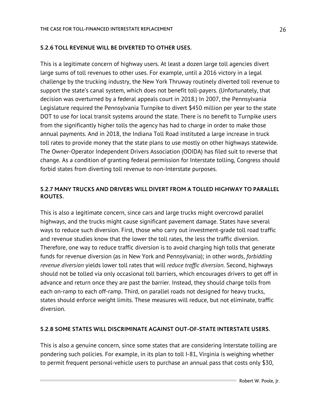#### **5.2.6 TOLL REVENUE WILL BE DIVERTED TO OTHER USES.**

This is a legitimate concern of highway users. At least a dozen large toll agencies divert large sums of toll revenues to other uses. For example, until a 2016 victory in a legal challenge by the trucking industry, the New York Thruway routinely diverted toll revenue to support the state's canal system, which does not benefit toll-payers. (Unfortunately, that decision was overturned by a federal appeals court in 2018.) In 2007, the Pennsylvania Legislature required the Pennsylvania Turnpike to divert \$450 million per year to the state DOT to use for local transit systems around the state. There is no benefit to Turnpike users from the significantly higher tolls the agency has had to charge in order to make those annual payments. And in 2018, the Indiana Toll Road instituted a large increase in truck toll rates to provide money that the state plans to use mostly on other highways statewide. The Owner-Operator Independent Drivers Association (OOIDA) has filed suit to reverse that change. As a condition of granting federal permission for Interstate tolling, Congress should forbid states from diverting toll revenue to non-Interstate purposes.

#### **5.2.7 MANY TRUCKS AND DRIVERS WILL DIVERT FROM A TOLLED HIGHWAY TO PARALLEL ROUTES.**

This is also a legitimate concern, since cars and large trucks might overcrowd parallel highways, and the trucks might cause significant pavement damage. States have several ways to reduce such diversion. First, those who carry out investment-grade toll road traffic and revenue studies know that the lower the toll rates, the less the traffic diversion. Therefore, one way to reduce traffic diversion is to avoid charging high tolls that generate funds for revenue diversion (as in New York and Pennsylvania); in other words, *forbidding revenue diversion* yields lower toll rates that will *reduce traffic diversion*. Second, highways should not be tolled via only occasional toll barriers, which encourages drivers to get off in advance and return once they are past the barrier. Instead, they should charge tolls from each on-ramp to each off-ramp. Third, on parallel roads not designed for heavy trucks, states should enforce weight limits. These measures will reduce, but not eliminate, traffic diversion.

#### **5.2.8 SOME STATES WILL DISCRIMINATE AGAINST OUT-OF-STATE INTERSTATE USERS.**

This is also a genuine concern, since some states that are considering Interstate tolling are pondering such policies. For example, in its plan to toll I-81, Virginia is weighing whether to permit frequent personal-vehicle users to purchase an annual pass that costs only \$30,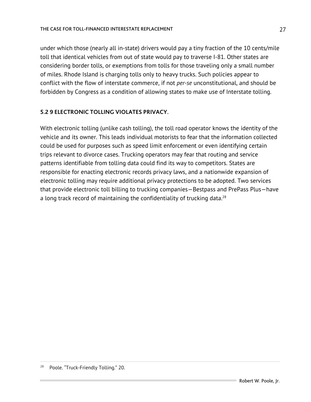under which those (nearly all in-state) drivers would pay a tiny fraction of the 10 cents/mile toll that identical vehicles from out of state would pay to traverse I-81. Other states are considering border tolls, or exemptions from tolls for those traveling only a small number of miles. Rhode Island is charging tolls only to heavy trucks. Such policies appear to conflict with the flow of interstate commerce, if not *per-se* unconstitutional, and should be forbidden by Congress as a condition of allowing states to make use of Interstate tolling.

#### **5.2 9 ELECTRONIC TOLLING VIOLATES PRIVACY.**

With electronic tolling (unlike cash tolling), the toll road operator knows the identity of the vehicle and its owner. This leads individual motorists to fear that the information collected could be used for purposes such as speed limit enforcement or even identifying certain trips relevant to divorce cases. Trucking operators may fear that routing and service patterns identifiable from tolling data could find its way to competitors. States are responsible for enacting electronic records privacy laws, and a nationwide expansion of electronic tolling may require additional privacy protections to be adopted. Two services that provide electronic toll billing to trucking companies—Bestpass and PrePass Plus—have a long track record of maintaining the confidentiality of trucking data. $28$ 

Poole. "Truck-Friendly Tolling." 20.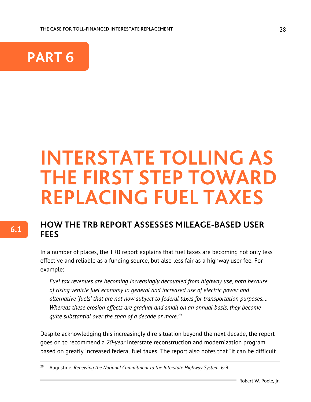THE CASE FOR TOLL-FINANCED INTERESTATE REPLACEMENT



## **INTERSTATE TOLLING AS THE FIRST STEP TOWARD REPLACING FUEL TAXES**

### **HOW THE TRB REPORT ASSESSES MILEAGE-BASED USER FEES**

In a number of places, the TRB report explains that fuel taxes are becoming not only less effective and reliable as a funding source, but also less fair as a highway user fee. For example:

*Fuel tax revenues are becoming increasingly decoupled from highway use, both because of rising vehicle fuel economy in general and increased use of electric power and alternative 'fuels' that are not now subject to federal taxes for transportation purposes.… Whereas these erosion effects are gradual and small on an annual basis, they become quite substantial over the span of a decade or more.*<sup>29</sup>

Despite acknowledging this increasingly dire situation beyond the next decade, the report goes on to recommend a *20-year* Interstate reconstruction and modernization program based on greatly increased federal fuel taxes. The report also notes that "it can be difficult

<sup>29</sup> Augustine. *Renewing the National Commitment to the Interstate Highway System*. 6-9.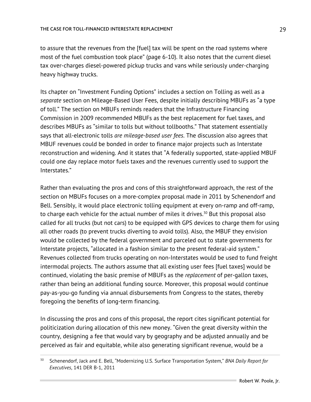to assure that the revenues from the [fuel] tax will be spent on the road systems where most of the fuel combustion took place" (page 6-10). It also notes that the current diesel tax over-charges diesel-powered pickup trucks and vans while seriously under-charging heavy highway trucks.

Its chapter on "Investment Funding Options" includes a section on Tolling as well as a *separate* section on Mileage-Based User Fees, despite initially describing MBUFs as "a type of toll." The section on MBUFs reminds readers that the Infrastructure Financing Commission in 2009 recommended MBUFs as the best replacement for fuel taxes, and describes MBUFs as "similar to tolls but without tollbooths." That statement essentially says that all-electronic tolls *are mileage-based user fees*. The discussion also agrees that MBUF revenues could be bonded in order to finance major projects such as Interstate reconstruction and widening. And it states that "A federally supported, state-applied MBUF could one day replace motor fuels taxes and the revenues currently used to support the Interstates."

Rather than evaluating the pros and cons of this straightforward approach, the rest of the section on MBUFs focuses on a more-complex proposal made in 2011 by Schenendorf and Bell. Sensibly, it would place electronic tolling equipment at every on-ramp and off-ramp, to charge each vehicle for the actual number of miles it drives.<sup>30</sup> But this proposal also called for all trucks (but not cars) to be equipped with GPS devices to charge them for using all other roads (to prevent trucks diverting to avoid tolls). Also, the MBUF they envision would be collected by the federal government and parceled out to state governments for Interstate projects, "allocated in a fashion similar to the present federal-aid system." Revenues collected from trucks operating on non-Interstates would be used to fund freight intermodal projects. The authors assume that all existing user fees [fuel taxes] would be continued, violating the basic premise of MBUFs as the *replacement* of per-gallon taxes, rather than being an additional funding source. Moreover, this proposal would continue pay-as-you-go funding via annual disbursements from Congress to the states, thereby foregoing the benefits of long-term financing.

In discussing the pros and cons of this proposal, the report cites significant potential for politicization during allocation of this new money. "Given the great diversity within the country, designing a fee that would vary by geography and be adjusted annually and be perceived as fair and equitable, while also generating significant revenue, would be a

<sup>30</sup> Schenendorf, Jack and E. Bell, "Modernizing U.S. Surface Transportation System," *BNA Daily Report for Executives*, 141 DER B-1, 2011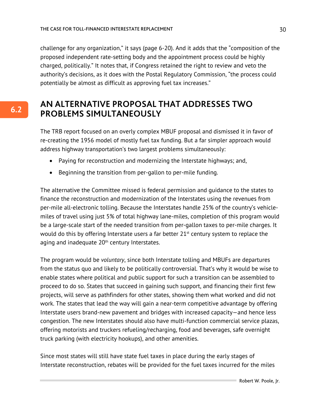challenge for any organization," it says (page 6-20). And it adds that the "composition of the proposed independent rate-setting body and the appointment process could be highly charged, politically." It notes that, if Congress retained the right to review and veto the authority's decisions, as it does with the Postal Regulatory Commission, "the process could potentially be almost as difficult as approving fuel tax increases."

### **AN ALTERNATIVE PROPOSAL THAT ADDRESSES TWO PROBLEMS SIMULTANEOUSLY**

The TRB report focused on an overly complex MBUF proposal and dismissed it in favor of re-creating the 1956 model of mostly fuel tax funding. But a far simpler approach would address highway transportation's two largest problems simultaneously:

- Paying for reconstruction and modernizing the Interstate highways; and,
- Beginning the transition from per-gallon to per-mile funding.

The alternative the Committee missed is federal permission and guidance to the states to finance the reconstruction and modernization of the Interstates using the revenues from per-mile all-electronic tolling. Because the Interstates handle 25% of the country's vehiclemiles of travel using just 5% of total highway lane-miles, completion of this program would be a large-scale start of the needed transition from per-gallon taxes to per-mile charges. It would do this by offering Interstate users a far better  $21^{st}$  century system to replace the aging and inadequate 20<sup>th</sup> century Interstates.

The program would be *voluntary*, since both Interstate tolling and MBUFs are departures from the status quo and likely to be politically controversial. That's why it would be wise to enable states where political and public support for such a transition can be assembled to proceed to do so. States that succeed in gaining such support, and financing their first few projects, will serve as pathfinders for other states, showing them what worked and did not work. The states that lead the way will gain a near-term competitive advantage by offering Interstate users brand-new pavement and bridges with increased capacity—and hence less congestion. The new Interstates should also have multi-function commercial service plazas, offering motorists and truckers refueling/recharging, food and beverages, safe overnight truck parking (with electricity hookups), and other amenities.

Since most states will still have state fuel taxes in place during the early stages of Interstate reconstruction, rebates will be provided for the fuel taxes incurred for the miles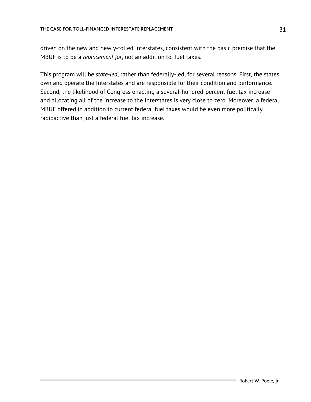driven on the new and newly-tolled Interstates, consistent with the basic premise that the MBUF is to be a *replacement for*, not an addition to, fuel taxes.

This program will be *state-led*, rather than federally-led, for several reasons. First, the states own and operate the Interstates and are responsible for their condition and performance. Second, the likelihood of Congress enacting a several-hundred-percent fuel tax increase and allocating all of the increase to the Interstates is very close to zero. Moreover, a federal MBUF offered in addition to current federal fuel taxes would be even more politically radioactive than just a federal fuel tax increase.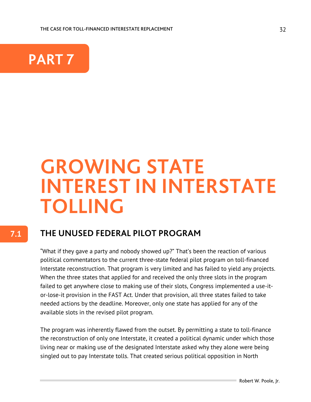

## **GROWING STATE INTEREST IN INTERSTATE TOLLING**

### **THE UNUSED FEDERAL PILOT PROGRAM**

"What if they gave a party and nobody showed up?" That's been the reaction of various political commentators to the current three-state federal pilot program on toll-financed Interstate reconstruction. That program is very limited and has failed to yield any projects. When the three states that applied for and received the only three slots in the program failed to get anywhere close to making use of their slots, Congress implemented a use-itor-lose-it provision in the FAST Act. Under that provision, all three states failed to take needed actions by the deadline. Moreover, only one state has applied for any of the available slots in the revised pilot program.

The program was inherently flawed from the outset. By permitting a state to toll-finance the reconstruction of only one Interstate, it created a political dynamic under which those living near or making use of the designated Interstate asked why they alone were being singled out to pay Interstate tolls. That created serious political opposition in North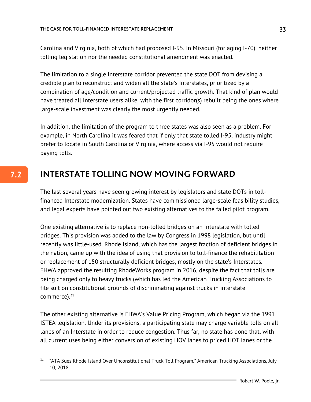Carolina and Virginia, both of which had proposed I-95. In Missouri (for aging I-70), neither tolling legislation nor the needed constitutional amendment was enacted.

The limitation to a single Interstate corridor prevented the state DOT from devising a credible plan to reconstruct and widen all the state's Interstates, prioritized by a combination of age/condition and current/projected traffic growth. That kind of plan would have treated all Interstate users alike, with the first corridor(s) rebuilt being the ones where large-scale investment was clearly the most urgently needed.

In addition, the limitation of the program to three states was also seen as a problem. For example, in North Carolina it was feared that if only that state tolled I-95, industry might prefer to locate in South Carolina or Virginia, where access via I-95 would not require paying tolls.

## **INTERSTATE TOLLING NOW MOVING FORWARD**

The last several years have seen growing interest by legislators and state DOTs in tollfinanced Interstate modernization. States have commissioned large-scale feasibility studies, and legal experts have pointed out two existing alternatives to the failed pilot program.

One existing alternative is to replace non-tolled bridges on an Interstate with tolled bridges. This provision was added to the law by Congress in 1998 legislation, but until recently was little-used. Rhode Island, which has the largest fraction of deficient bridges in the nation, came up with the idea of using that provision to toll-finance the rehabilitation or replacement of 150 structurally deficient bridges, mostly on the state's Interstates. FHWA approved the resulting RhodeWorks program in 2016, despite the fact that tolls are being charged only to heavy trucks (which has led the American Trucking Associations to file suit on constitutional grounds of discriminating against trucks in interstate commerce).<sup>31</sup>

The other existing alternative is FHWA's Value Pricing Program, which began via the 1991 ISTEA legislation. Under its provisions, a participating state may charge variable tolls on all lanes of an Interstate in order to reduce congestion. Thus far, no state has done that, with all current uses being either conversion of existing HOV lanes to priced HOT lanes or the

<sup>&</sup>lt;sup>31</sup> "ATA Sues Rhode Island Over Unconstitutional Truck Toll Program." American Trucking Associations, July 10, 2018.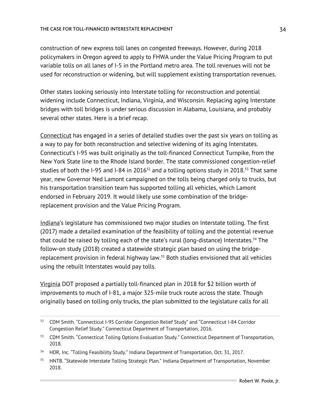construction of new express toll lanes on congested freeways. However, during 2018 policymakers in Oregon agreed to apply to FHWA under the Value Pricing Program to put variable tolls on all lanes of I-5 in the Portland metro area. The toll revenues will not be used for reconstruction or widening, but will supplement existing transportation revenues.

Other states looking seriously into Interstate tolling for reconstruction and potential widening include Connecticut, Indiana, Virginia, and Wisconsin. Replacing aging Interstate bridges with toll bridges is under serious discussion in Alabama, Louisiana, and probably several other states. Here is a brief recap.

Connecticut has engaged in a series of detailed studies over the past six years on tolling as a way to pay for both reconstruction and selective widening of its aging Interstates. Connecticut's I-95 was built originally as the toll-financed Connecticut Turnpike, from the New York State line to the Rhode Island border. The state commissioned congestion-relief studies of both the I-95 and I-84 in 2016<sup>32</sup> and a tolling options study in 2018.<sup>33</sup> That same year, new Governor Ned Lamont campaigned on the tolls being charged only to trucks, but his transportation transition team has supported tolling all vehicles, which Lamont endorsed in February 2019. It would likely use some combination of the bridgereplacement provision and the Value Pricing Program.

Indiana's legislature has commissioned two major studies on Interstate tolling. The first (2017) made a detailed examination of the feasibility of tolling and the potential revenue that could be raised by tolling each of the state's rural (long-distance) Interstates.<sup>34</sup> The follow-on study (2018) created a statewide strategic plan based on using the bridgereplacement provision in federal highway law.<sup>35</sup> Both studies envisioned that all vehicles using the rebuilt Interstates would pay tolls.

Virginia DOT proposed a partially toll-financed plan in 2018 for \$2 billion worth of improvements to much of I-81, a major 325-mile truck route across the state. Though originally based on tolling only trucks, the plan submitted to the legislature calls for all

<sup>&</sup>lt;sup>32</sup> CDM Smith. "Connecticut I-95 Corridor Congestion Relief Study" and "Connecticut I-84 Corridor Congestion Relief Study." Connecticut Department of Transportation, 2016.

<sup>&</sup>lt;sup>33</sup> CDM Smith. "Connecticut Tolling Options Evaluation Study." Connecticut Department of Transportation, 2018.

<sup>&</sup>lt;sup>34</sup> HDR, Inc. "Tolling Feasibility Study." Indiana Department of Transportation, Oct. 31, 2017.

<sup>&</sup>lt;sup>35</sup> HNTB. "Statewide Interstate Tolling Strategic Plan." Indiana Department of Transportation, November 2018.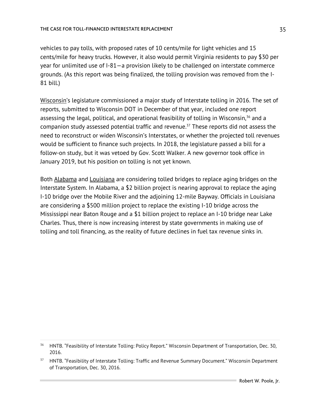#### THE CASE FOR TOLL-FINANCED INTERESTATE REPLACEMENT

vehicles to pay tolls, with proposed rates of 10 cents/mile for light vehicles and 15 cents/mile for heavy trucks. However, it also would permit Virginia residents to pay \$30 per year for unlimited use of I-81—a provision likely to be challenged on interstate commerce grounds. (As this report was being finalized, the tolling provision was removed from the I-81 bill.)

Wisconsin's legislature commissioned a major study of Interstate tolling in 2016. The set of reports, submitted to Wisconsin DOT in December of that year, included one report assessing the legal, political, and operational feasibility of tolling in Wisconsin,  $36$  and a companion study assessed potential traffic and revenue.37 These reports did not assess the need to reconstruct or widen Wisconsin's Interstates, or whether the projected toll revenues would be sufficient to finance such projects. In 2018, the legislature passed a bill for a follow-on study, but it was vetoed by Gov. Scott Walker. A new governor took office in January 2019, but his position on tolling is not yet known.

Both Alabama and Louisiana are considering tolled bridges to replace aging bridges on the Interstate System. In Alabama, a \$2 billion project is nearing approval to replace the aging I-10 bridge over the Mobile River and the adjoining 12-mile Bayway. Officials in Louisiana are considering a \$500 million project to replace the existing I-10 bridge across the Mississippi near Baton Rouge and a \$1 billion project to replace an I-10 bridge near Lake Charles. Thus, there is now increasing interest by state governments in making use of tolling and toll financing, as the reality of future declines in fuel tax revenue sinks in.

<sup>&</sup>lt;sup>36</sup> HNTB. "Feasibility of Interstate Tolling: Policy Report." Wisconsin Department of Transportation, Dec. 30, 2016.

<sup>&</sup>lt;sup>37</sup> HNTB. "Feasibility of Interstate Tolling: Traffic and Revenue Summary Document." Wisconsin Department of Transportation, Dec. 30, 2016.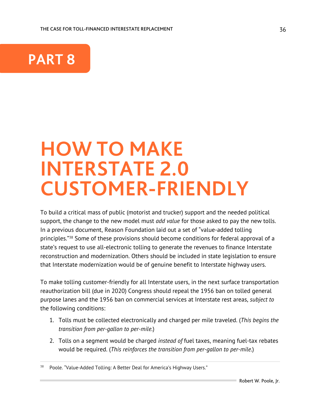

## **HOW TO MAKE INTERSTATE 2.0 CUSTOMER-FRIENDLY**

To build a critical mass of public (motorist and trucker) support and the needed political support, the change to the new model must *add value* for those asked to pay the new tolls. In a previous document, Reason Foundation laid out a set of "value-added tolling principles."<sup>38</sup> Some of these provisions should become conditions for federal approval of a state's request to use all-electronic tolling to generate the revenues to finance Interstate reconstruction and modernization. Others should be included in state legislation to ensure that Interstate modernization would be of genuine benefit to Interstate highway users.

To make tolling customer-friendly for all Interstate users, in the next surface transportation reauthorization bill (due in 2020) Congress should repeal the 1956 ban on tolled general purpose lanes and the 1956 ban on commercial services at Interstate rest areas, *subject to*  the following conditions:

- 1. Tolls must be collected electronically and charged per mile traveled. (*This begins the transition from per-gallon to per-mile.*)
- 2. Tolls on a segment would be charged *instead of* fuel taxes, meaning fuel-tax rebates would be required. (*This reinforces the transition from per-gallon to per-mile.*)

Poole. "Value-Added Tolling: A Better Deal for America's Highway Users."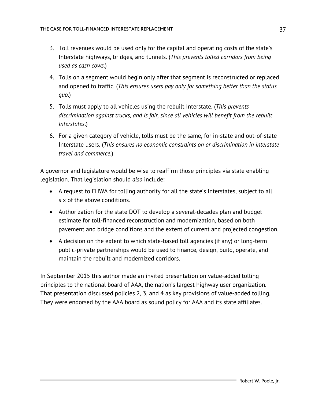- 3. Toll revenues would be used only for the capital and operating costs of the state's Interstate highways, bridges, and tunnels. (*This prevents tolled corridors from being used as cash cows.*)
- 4. Tolls on a segment would begin only after that segment is reconstructed or replaced and opened to traffic. (*This ensures users pay only for something better than the status quo.*)
- 5. Tolls must apply to all vehicles using the rebuilt Interstate. (*This prevents discrimination against trucks, and is fair, since all vehicles will benefit from the rebuilt Interstates*.)
- 6. For a given category of vehicle, tolls must be the same, for in-state and out-of-state Interstate users. (*This ensures no economic constraints on or discrimination in interstate travel and commerce.*)

A governor and legislature would be wise to reaffirm those principles via state enabling legislation. That legislation should *also* include:

- A request to FHWA for tolling authority for all the state's Interstates, subject to all six of the above conditions.
- Authorization for the state DOT to develop a several-decades plan and budget estimate for toll-financed reconstruction and modernization, based on both pavement and bridge conditions and the extent of current and projected congestion.
- A decision on the extent to which state-based toll agencies (if any) or long-term public-private partnerships would be used to finance, design, build, operate, and maintain the rebuilt and modernized corridors.

In September 2015 this author made an invited presentation on value-added tolling principles to the national board of AAA, the nation's largest highway user organization. That presentation discussed policies 2, 3, and 4 as key provisions of value-added tolling. They were endorsed by the AAA board as sound policy for AAA and its state affiliates.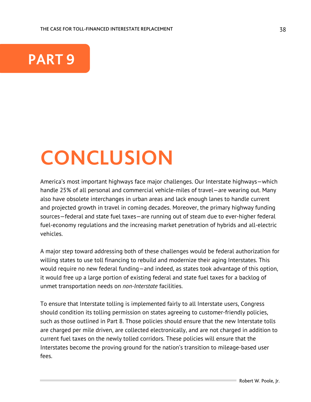

## **CONCLUSION**

America's most important highways face major challenges. Our Interstate highways—which handle 25% of all personal and commercial vehicle-miles of travel—are wearing out. Many also have obsolete interchanges in urban areas and lack enough lanes to handle current and projected growth in travel in coming decades. Moreover, the primary highway funding sources—federal and state fuel taxes—are running out of steam due to ever-higher federal fuel-economy regulations and the increasing market penetration of hybrids and all-electric vehicles.

A major step toward addressing both of these challenges would be federal authorization for willing states to use toll financing to rebuild and modernize their aging Interstates. This would require no new federal funding—and indeed, as states took advantage of this option, it would free up a large portion of existing federal and state fuel taxes for a backlog of unmet transportation needs on *non-Interstate* facilities.

To ensure that Interstate tolling is implemented fairly to all Interstate users, Congress should condition its tolling permission on states agreeing to customer-friendly policies, such as those outlined in Part 8. Those policies should ensure that the new Interstate tolls are charged per mile driven, are collected electronically, and are not charged in addition to current fuel taxes on the newly tolled corridors. These policies will ensure that the Interstates become the proving ground for the nation's transition to mileage-based user fees.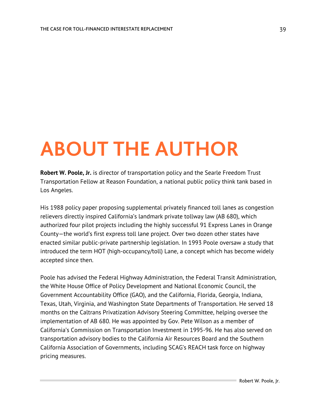## **ABOUT THE AUTHOR**

**Robert W. Poole, Jr.** is director of transportation policy and the Searle Freedom Trust Transportation Fellow at Reason Foundation, a national public policy think tank based in Los Angeles.

His 1988 policy paper proposing supplemental privately financed toll lanes as congestion relievers directly inspired California's landmark private tollway law (AB 680), which authorized four pilot projects including the highly successful 91 Express Lanes in Orange County—the world's first express toll lane project. Over two dozen other states have enacted similar public-private partnership legislation. In 1993 Poole oversaw a study that introduced the term HOT (high-occupancy/toll) Lane, a concept which has become widely accepted since then.

Poole has advised the Federal Highway Administration, the Federal Transit Administration, the White House Office of Policy Development and National Economic Council, the Government Accountability Office (GAO), and the California, Florida, Georgia, Indiana, Texas, Utah, Virginia, and Washington State Departments of Transportation. He served 18 months on the Caltrans Privatization Advisory Steering Committee, helping oversee the implementation of AB 680. He was appointed by Gov. Pete Wilson as a member of California's Commission on Transportation Investment in 1995-96. He has also served on transportation advisory bodies to the California Air Resources Board and the Southern California Association of Governments, including SCAG's REACH task force on highway pricing measures.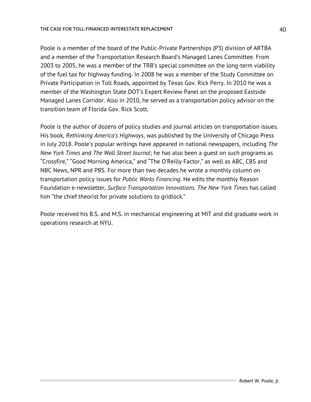#### THE CASE FOR TOLL-FINANCED INTERESTATE REPLACEMENT

Poole is a member of the board of the Public-Private Partnerships (P3) division of ARTBA and a member of the Transportation Research Board's Managed Lanes Committee. From 2003 to 2005, he was a member of the TRB's special committee on the long-term viability of the fuel tax for highway funding. In 2008 he was a member of the Study Committee on Private Participation in Toll Roads, appointed by Texas Gov. Rick Perry. In 2010 he was a member of the Washington State DOT's Expert Review Panel on the proposed Eastside Managed Lanes Corridor. Also in 2010, he served as a transportation policy advisor on the transition team of Florida Gov. Rick Scott.

Poole is the author of dozens of policy studies and journal articles on transportation issues. His book, *Rethinking America's Highways*, was published by the University of Chicago Press in July 2018. Poole's popular writings have appeared in national newspapers, including *The New York Times* and *The Wall Street Journal*; he has also been a guest on such programs as "Crossfire," "Good Morning America," and "The O'Reilly Factor," as well as ABC, CBS and NBC News, NPR and PBS. For more than two decades he wrote a monthly column on transportation policy issues for *Public Works Financing*. He edits the monthly Reason Foundation e-newsletter, *Surface Transportation Innovations*. *The New York Times* has called him "the chief theorist for private solutions to gridlock."

Poole received his B.S. and M.S. in mechanical engineering at MIT and did graduate work in operations research at NYU.